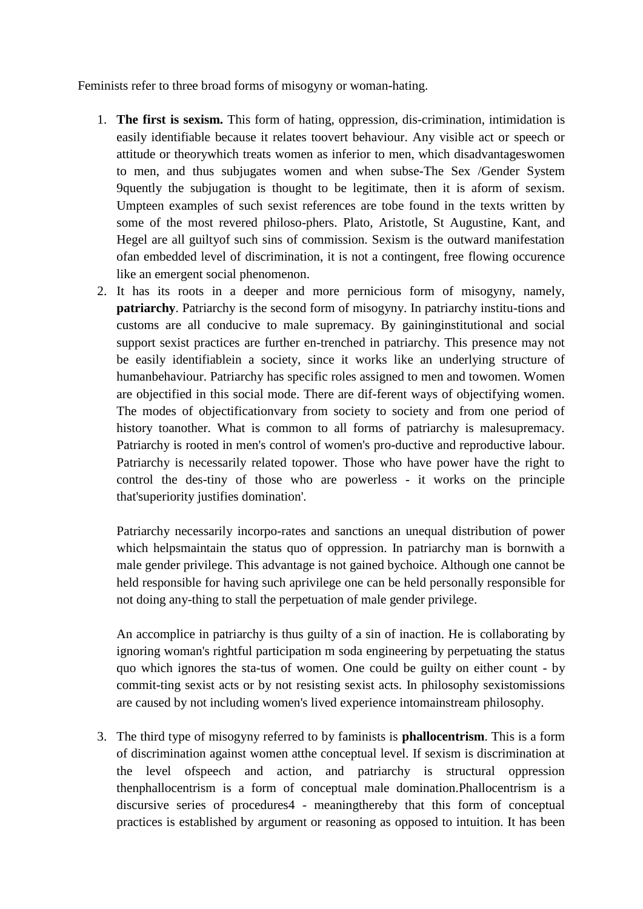Feminists refer to three broad forms of misogyny or woman-hating.

- 1. **The first is sexism.** This form of hating, oppression, dis-crimination, intimidation is easily identifiable because it relates toovert behaviour. Any visible act or speech or attitude or theorywhich treats women as inferior to men, which disadvantageswomen to men, and thus subjugates women and when subse-The Sex /Gender System 9quently the subjugation is thought to be legitimate, then it is aform of sexism. Umpteen examples of such sexist references are tobe found in the texts written by some of the most revered philoso-phers. Plato, Aristotle, St Augustine, Kant, and Hegel are all guiltyof such sins of commission. Sexism is the outward manifestation ofan embedded level of discrimination, it is not a contingent, free flowing occurence like an emergent social phenomenon.
- 2. It has its roots in a deeper and more pernicious form of misogyny, namely, **patriarchy**. Patriarchy is the second form of misogyny. In patriarchy institu-tions and customs are all conducive to male supremacy. By gaininginstitutional and social support sexist practices are further en-trenched in patriarchy. This presence may not be easily identifiablein a society, since it works like an underlying structure of humanbehaviour. Patriarchy has specific roles assigned to men and towomen. Women are objectified in this social mode. There are dif-ferent ways of objectifying women. The modes of objectificationvary from society to society and from one period of history toanother. What is common to all forms of patriarchy is malesupremacy. Patriarchy is rooted in men's control of women's pro-ductive and reproductive labour. Patriarchy is necessarily related topower. Those who have power have the right to control the des-tiny of those who are powerless - it works on the principle that'superiority justifies domination'.

Patriarchy necessarily incorpo-rates and sanctions an unequal distribution of power which helpsmaintain the status quo of oppression. In patriarchy man is bornwith a male gender privilege. This advantage is not gained bychoice. Although one cannot be held responsible for having such aprivilege one can be held personally responsible for not doing any-thing to stall the perpetuation of male gender privilege.

An accomplice in patriarchy is thus guilty of a sin of inaction. He is collaborating by ignoring woman's rightful participation m soda engineering by perpetuating the status quo which ignores the sta-tus of women. One could be guilty on either count - by commit-ting sexist acts or by not resisting sexist acts. In philosophy sexistomissions are caused by not including women's lived experience intomainstream philosophy.

3. The third type of misogyny referred to by faminists is **phallocentrism**. This is a form of discrimination against women atthe conceptual level. If sexism is discrimination at the level ofspeech and action, and patriarchy is structural oppression thenphallocentrism is a form of conceptual male domination.Phallocentrism is a discursive series of procedures4 - meaningthereby that this form of conceptual practices is established by argument or reasoning as opposed to intuition. It has been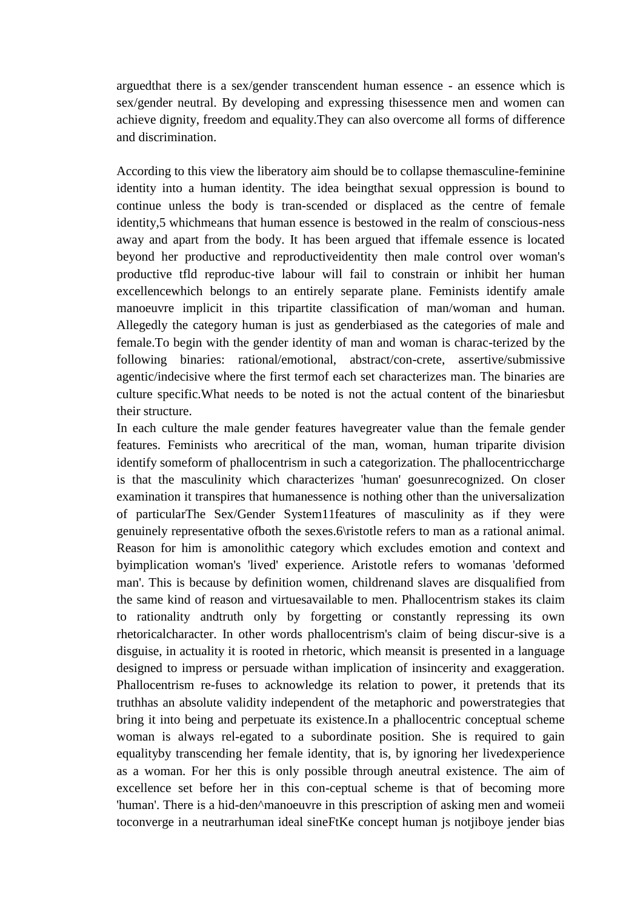arguedthat there is a sex/gender transcendent human essence - an essence which is sex/gender neutral. By developing and expressing thisessence men and women can achieve dignity, freedom and equality.They can also overcome all forms of difference and discrimination.

According to this view the liberatory aim should be to collapse themasculine-feminine identity into a human identity. The idea beingthat sexual oppression is bound to continue unless the body is tran-scended or displaced as the centre of female identity,5 whichmeans that human essence is bestowed in the realm of conscious-ness away and apart from the body. It has been argued that iffemale essence is located beyond her productive and reproductiveidentity then male control over woman's productive tfld reproduc-tive labour will fail to constrain or inhibit her human excellencewhich belongs to an entirely separate plane. Feminists identify amale manoeuvre implicit in this tripartite classification of man/woman and human. Allegedly the category human is just as genderbiased as the categories of male and female.To begin with the gender identity of man and woman is charac-terized by the following binaries: rational/emotional, abstract/con-crete, assertive/submissive agentic/indecisive where the first termof each set characterizes man. The binaries are culture specific.What needs to be noted is not the actual content of the binariesbut their structure.

In each culture the male gender features havegreater value than the female gender features. Feminists who arecritical of the man, woman, human triparite division identify someform of phallocentrism in such a categorization. The phallocentriccharge is that the masculinity which characterizes 'human' goesunrecognized. On closer examination it transpires that humanessence is nothing other than the universalization of particularThe Sex/Gender System11features of masculinity as if they were genuinely representative ofboth the sexes.6\ristotle refers to man as a rational animal. Reason for him is amonolithic category which excludes emotion and context and byimplication woman's 'lived' experience. Aristotle refers to womanas 'deformed man'. This is because by definition women, childrenand slaves are disqualified from the same kind of reason and virtuesavailable to men. Phallocentrism stakes its claim to rationality andtruth only by forgetting or constantly repressing its own rhetoricalcharacter. In other words phallocentrism's claim of being discur-sive is a disguise, in actuality it is rooted in rhetoric, which meansit is presented in a language designed to impress or persuade withan implication of insincerity and exaggeration. Phallocentrism re-fuses to acknowledge its relation to power, it pretends that its truthhas an absolute validity independent of the metaphoric and powerstrategies that bring it into being and perpetuate its existence.In a phallocentric conceptual scheme woman is always rel-egated to a subordinate position. She is required to gain equalityby transcending her female identity, that is, by ignoring her livedexperience as a woman. For her this is only possible through aneutral existence. The aim of excellence set before her in this con-ceptual scheme is that of becoming more 'human'. There is a hid-den^manoeuvre in this prescription of asking men and womeii toconverge in a neutrarhuman ideal sineFtKe concept human js notjiboye jender bias